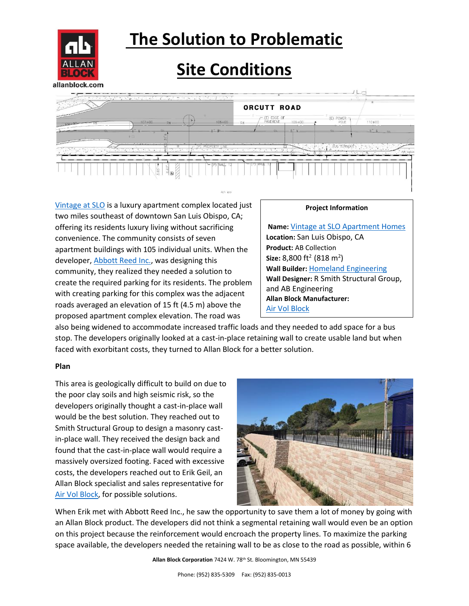

## **The Solution to Problematic**

### **Site Conditions**



[Vintage at SLO](https://vintageatslo.com/) is a luxury apartment complex located just two miles southeast of downtown San Luis Obispo, CA; offering its residents luxury living without sacrificing convenience. The community consists of seven apartment buildings with 105 individual units. When the developer[, Abbott Reed Inc.,](https://abbottreedinc.com/) was designing this community, they realized they needed a solution to create the required parking for its residents. The problem with creating parking for this complex was the adjacent roads averaged an elevation of 15 ft (4.5 m) above the proposed apartment complex elevation. The road was

#### **Project Information**

**Name:** [Vintage at SLO Apartment Homes](https://vintageatslo.com/) **Location:** San Luis Obispo, CA **Product:** AB Collection **Size:** 8,800 ft<sup>2</sup> (818 m<sup>2</sup>) **Wall Builder:** [Homeland Engineering](https://www.facebook.com/homelandretainingwalls/) **Wall Designer:** R Smith Structural Group, and AB Engineering **Allan Block Manufacturer:** [Air Vol Block](https://airvolblock.com/)

also being widened to accommodate increased traffic loads and they needed to add space for a bus stop. The developers originally looked at a cast-in-place retaining wall to create usable land but when faced with exorbitant costs, they turned to Allan Block for a better solution.

### **Plan**

This area is geologically difficult to build on due to the poor clay soils and high seismic risk, so the developers originally thought a cast-in-place wall would be the best solution. They reached out to Smith Structural Group to design a masonry castin-place wall. They received the design back and found that the cast-in-place wall would require a massively oversized footing. Faced with excessive costs, the developers reached out to Erik Geil, an Allan Block specialist and sales representative for [Air Vol Block,](https://airvolblock.com/) for possible solutions.



When Erik met with Abbott Reed Inc., he saw the opportunity to save them a lot of money by going with an Allan Block product. The developers did not think a segmental retaining wall would even be an option on this project because the reinforcement would encroach the property lines. To maximize the parking space available, the developers needed the retaining wall to be as close to the road as possible, within 6

**Allan Block Corporation** 7424 W. 78th St. Bloomington, MN 55439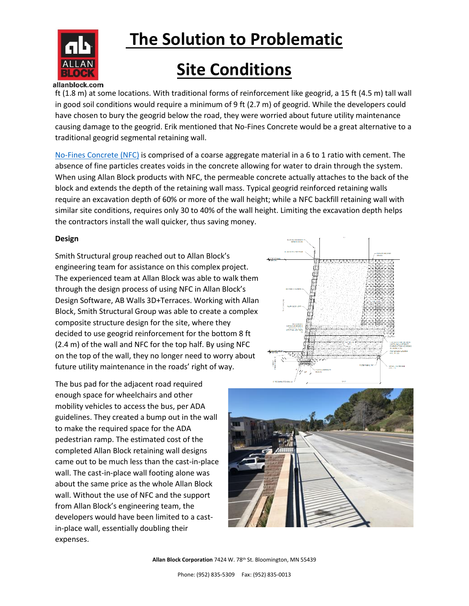

# **The Solution to Problematic**

### **Site Conditions**

#### allanblock.com

ft (1.8 m) at some locations. With traditional forms of reinforcement like geogrid, a 15 ft (4.5 m) tall wall in good soil conditions would require a minimum of 9 ft (2.7 m) of geogrid. While the developers could have chosen to bury the geogrid below the road, they were worried about future utility maintenance causing damage to the geogrid. Erik mentioned that No-Fines Concrete would be a great alternative to a traditional geogrid segmental retaining wall.

[No-Fines Concrete \(NFC\)](https://www.allanblock.com/retaining-walls/no-fines-concrete.aspx) is comprised of a coarse aggregate material in a 6 to 1 ratio with cement. The absence of fine particles creates voids in the concrete allowing for water to drain through the system. When using Allan Block products with NFC, the permeable concrete actually attaches to the back of the block and extends the depth of the retaining wall mass. Typical geogrid reinforced retaining walls require an excavation depth of 60% or more of the wall height; while a NFC backfill retaining wall with similar site conditions, requires only 30 to 40% of the wall height. Limiting the excavation depth helps the contractors install the wall quicker, thus saving money.

#### **Design**

Smith Structural group reached out to Allan Block's engineering team for assistance on this complex project. The experienced team at Allan Block was able to walk them through the design process of using NFC in Allan Block's Design Software, AB Walls 3D+Terraces. Working with Allan Block, Smith Structural Group was able to create a complex composite structure design for the site, where they decided to use geogrid reinforcement for the bottom 8 ft (2.4 m) of the wall and NFC for the top half. By using NFC on the top of the wall, they no longer need to worry about future utility maintenance in the roads' right of way.

The bus pad for the adjacent road required enough space for wheelchairs and other mobility vehicles to access the bus, per ADA guidelines. They created a bump out in the wall to make the required space for the ADA pedestrian ramp. The estimated cost of the completed Allan Block retaining wall designs came out to be much less than the cast-in-place wall. The cast-in-place wall footing alone was about the same price as the whole Allan Block wall. Without the use of NFC and the support from Allan Block's engineering team, the developers would have been limited to a castin-place wall, essentially doubling their expenses.



**Allan Block Corporation** 7424 W. 78th St. Bloomington, MN 55439